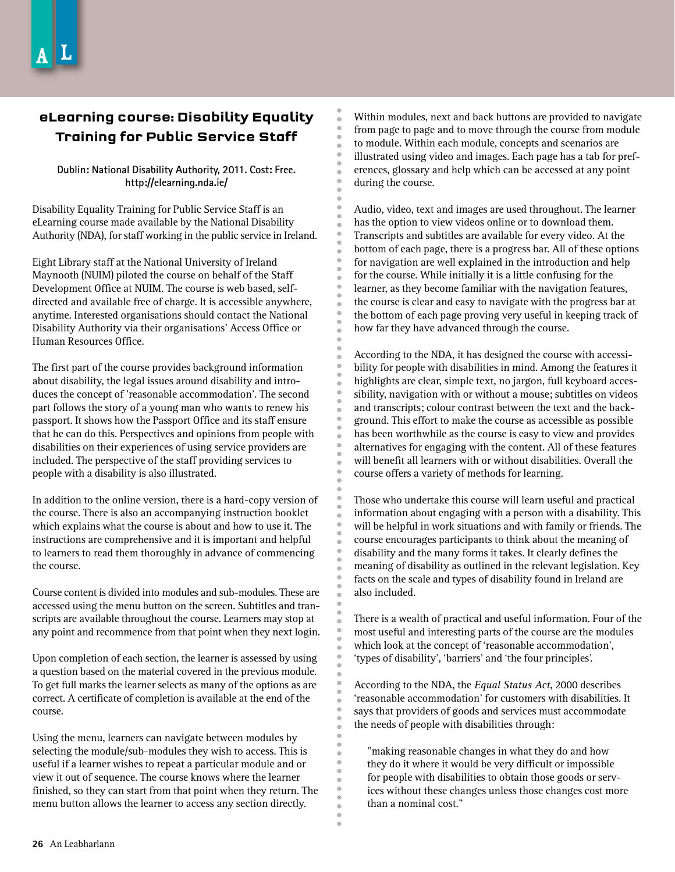## **eLearning course: Disability Equality Training for Public Service Staff**

## **Dublin: National Disability Authority, 2011. Cost: Free. http://elearning.nda.ie/**

Disability Equality Training for Public Service Staff is an eLearning course made available by the National Disability Authority (NDA), for staff working in the public service in Ireland.

Eight Library staff at the National University of Ireland Maynooth (NUIM) piloted the course on behalf of the Staff Development Office at NUIM. The course is web based, selfdirected and available free of charge. It is accessible anywhere, anytime. Interested organisations should contact the National Disability Authority via their organisations' Access Office or Human Resources Office.

The first part of the course provides background information about disability, the legal issues around disability and introduces the concept of 'reasonable accommodation'. The second part follows the story of a young man who wants to renew his passport. It shows how the Passport Office and its staff ensure that he can do this. Perspectives and opinions from people with disabilities on their experiences of using service providers are included. The perspective of the staff providing services to people with a disability is also illustrated.

In addition to the online version, there is a hard-copy version of the course. There is also an accompanying instruction booklet which explains what the course is about and how to use it. The instructions are comprehensive and it is important and helpful to learners to read them thoroughly in advance of commencing the course.

Course content is divided into modules and sub-modules. These are accessed using the menu button on the screen. Subtitles and transcripts are available throughout the course. Learners may stop at any point and recommence from that point when they next login.

Upon completion of each section, the learner is assessed by using a question based on the material covered in the previous module. To get full marks the learner selects as many of the options as are correct. A certificate of completion is available at the end of the course.

Using the menu, learners can navigate between modules by selecting the module/sub-modules they wish to access. This is useful if a learner wishes to repeat a particular module and or view it out of sequence. The course knows where the learner finished, so they can start from that point when they return. The menu button allows the learner to access any section directly.

Within modules, next and back buttons are provided to navigate from page to page and to move through the course from module to module. Within each module, concepts and scenarios are illustrated using video and images. Each page has a tab for preferences, glossary and help which can be accessed at any point during the course.

Audio, video, text and images are used throughout. The learner has the option to view videos online or to download them. Transcripts and subtitles are available for every video. At the bottom of each page, there is a progress bar. All of these options for navigation are well explained in the introduction and help for the course. While initially it is a little confusing for the learner, as they become familiar with the navigation features, the course is clear and easy to navigate with the progress bar at the bottom of each page proving very useful in keeping track of how far they have advanced through the course.

According to the NDA, it has designed the course with accessibility for people with disabilities in mind. Among the features it highlights are clear, simple text, no jargon, full keyboard accessibility, navigation with or without a mouse; subtitles on videos and transcripts; colour contrast between the text and the background. This effort to make the course as accessible as possible has been worthwhile as the course is easy to view and provides alternatives for engaging with the content. All of these features will benefit all learners with or without disabilities. Overall the course offers a variety of methods for learning.

Those who undertake this course will learn useful and practical information about engaging with a person with a disability. This will be helpful in work situations and with family or friends. The course encourages participants to think about the meaning of disability and the many forms it takes. It clearly defines the meaning of disability as outlined in the relevant legislation. Key facts on the scale and types of disability found in Ireland are also included.

There is a wealth of practical and useful information. Four of the most useful and interesting parts of the course are the modules which look at the concept of 'reasonable accommodation', 'types of disability', 'barriers' and 'the four principles'.

According to the NDA, the *Equal Status Act*, 2000 describes 'reasonable accommodation' for customers with disabilities. It says that providers of goods and services must accommodate the needs of people with disabilities through:

"making reasonable changes in what they do and how they do it where it would be very difficult or impossible for people with disabilities to obtain those goods or services without these changes unless those changes cost more than a nominal cost."